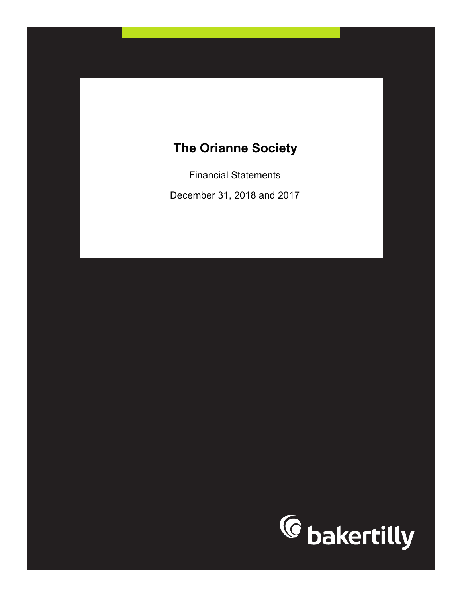Financial Statements

December 31, 2018 and 2017

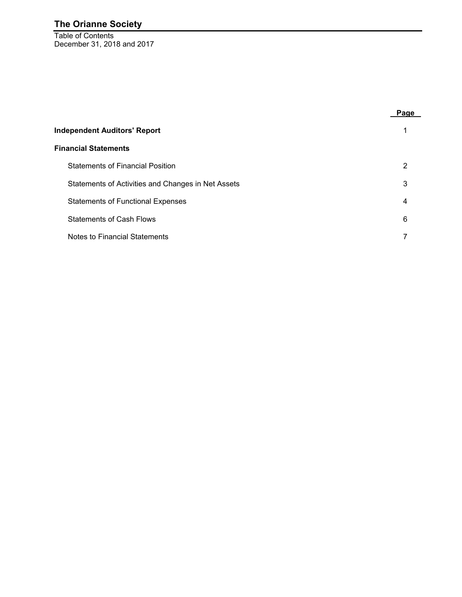Table of Contents December 31, 2018 and 2017

|                                                    | Page |
|----------------------------------------------------|------|
| <b>Independent Auditors' Report</b>                |      |
| <b>Financial Statements</b>                        |      |
| <b>Statements of Financial Position</b>            | 2    |
| Statements of Activities and Changes in Net Assets | 3    |
| <b>Statements of Functional Expenses</b>           | 4    |
| <b>Statements of Cash Flows</b>                    | 6    |
| Notes to Financial Statements                      |      |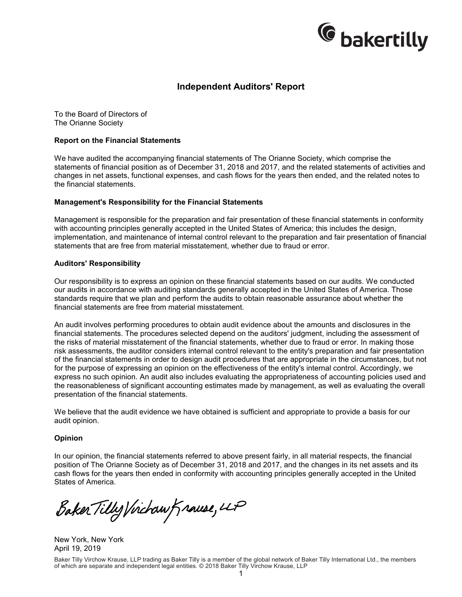

### **Independent Auditors' Report**

To the Board of Directors of The Orianne Society

#### **Report on the Financial Statements**

We have audited the accompanying financial statements of The Orianne Society, which comprise the statements of financial position as of December 31, 2018 and 2017, and the related statements of activities and changes in net assets, functional expenses, and cash flows for the years then ended, and the related notes to the financial statements.

#### **Management's Responsibility for the Financial Statements**

Management is responsible for the preparation and fair presentation of these financial statements in conformity with accounting principles generally accepted in the United States of America; this includes the design, implementation, and maintenance of internal control relevant to the preparation and fair presentation of financial statements that are free from material misstatement, whether due to fraud or error.

#### **Auditors' Responsibility**

Our responsibility is to express an opinion on these financial statements based on our audits. We conducted our audits in accordance with auditing standards generally accepted in the United States of America. Those standards require that we plan and perform the audits to obtain reasonable assurance about whether the financial statements are free from material misstatement.

An audit involves performing procedures to obtain audit evidence about the amounts and disclosures in the financial statements. The procedures selected depend on the auditors' judgment, including the assessment of the risks of material misstatement of the financial statements, whether due to fraud or error. In making those risk assessments, the auditor considers internal control relevant to the entity's preparation and fair presentation of the financial statements in order to design audit procedures that are appropriate in the circumstances, but not for the purpose of expressing an opinion on the effectiveness of the entity's internal control. Accordingly, we express no such opinion. An audit also includes evaluating the appropriateness of accounting policies used and the reasonableness of significant accounting estimates made by management, as well as evaluating the overall presentation of the financial statements.

We believe that the audit evidence we have obtained is sufficient and appropriate to provide a basis for our audit opinion.

#### **Opinion**

In our opinion, the financial statements referred to above present fairly, in all material respects, the financial position of The Orianne Society as of December 31, 2018 and 2017, and the changes in its net assets and its cash flows for the years then ended in conformity with accounting principles generally accepted in the United States of America.

Baker Tilly Virchaw Krause, 4P

New York, New York April 19, 2019

Baker Tilly Virchow Krause, LLP trading as Baker Tilly is a member of the global network of Baker Tilly International Ltd., the members of which are separate and independent legal entities. © 2018 Baker Tilly Virchow Krause, LLP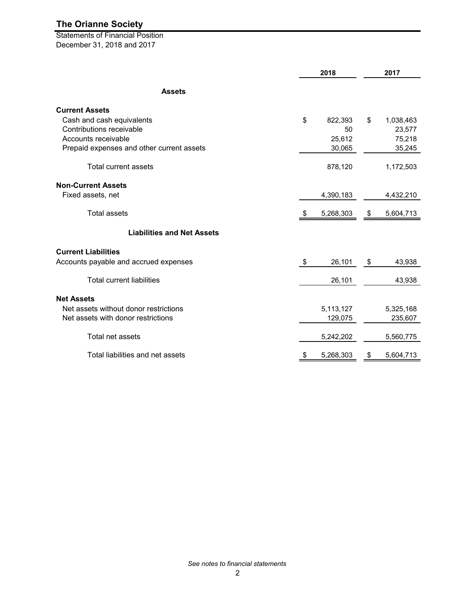Statements of Financial Position December 31, 2018 and 2017

|                                           |    |           | 2017 |           |
|-------------------------------------------|----|-----------|------|-----------|
| <b>Assets</b>                             |    |           |      |           |
| <b>Current Assets</b>                     |    |           |      |           |
| Cash and cash equivalents                 | \$ | 822,393   | \$   | 1,038,463 |
| Contributions receivable                  |    | 50        |      | 23,577    |
| Accounts receivable                       |    | 25,612    |      | 75,218    |
| Prepaid expenses and other current assets |    | 30,065    |      | 35,245    |
| <b>Total current assets</b>               |    | 878,120   |      | 1,172,503 |
| <b>Non-Current Assets</b>                 |    |           |      |           |
| Fixed assets, net                         |    | 4,390,183 |      | 4,432,210 |
| <b>Total assets</b>                       | \$ | 5,268,303 | \$   | 5,604,713 |
| <b>Liabilities and Net Assets</b>         |    |           |      |           |
| <b>Current Liabilities</b>                |    |           |      |           |
| Accounts payable and accrued expenses     | \$ | 26,101    | - \$ | 43,938    |
| <b>Total current liabilities</b>          |    | 26,101    |      | 43,938    |
| <b>Net Assets</b>                         |    |           |      |           |
| Net assets without donor restrictions     |    | 5,113,127 |      | 5,325,168 |
| Net assets with donor restrictions        |    | 129,075   |      | 235,607   |
| Total net assets                          |    | 5,242,202 |      | 5,560,775 |
| Total liabilities and net assets          | \$ | 5,268,303 | \$   | 5,604,713 |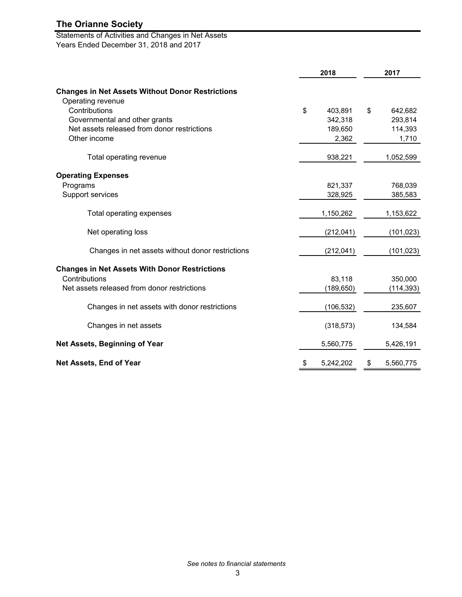Statements of Activities and Changes in Net Assets Years Ended December 31, 2018 and 2017

|                                                         | 2018            | 2017            |  |
|---------------------------------------------------------|-----------------|-----------------|--|
| <b>Changes in Net Assets Without Donor Restrictions</b> |                 |                 |  |
| Operating revenue                                       |                 |                 |  |
| Contributions                                           | \$<br>403,891   | \$<br>642,682   |  |
| Governmental and other grants                           | 342,318         | 293,814         |  |
| Net assets released from donor restrictions             | 189,650         | 114,393         |  |
| Other income                                            | 2,362           | 1,710           |  |
| Total operating revenue                                 | 938,221         | 1,052,599       |  |
| <b>Operating Expenses</b>                               |                 |                 |  |
| Programs                                                | 821,337         | 768,039         |  |
| Support services                                        | 328,925         | 385,583         |  |
| Total operating expenses                                | 1,150,262       | 1,153,622       |  |
| Net operating loss                                      | (212, 041)      | (101, 023)      |  |
| Changes in net assets without donor restrictions        | (212, 041)      | (101, 023)      |  |
| <b>Changes in Net Assets With Donor Restrictions</b>    |                 |                 |  |
| Contributions                                           | 83,118          | 350,000         |  |
| Net assets released from donor restrictions             | (189, 650)      | (114, 393)      |  |
| Changes in net assets with donor restrictions           | (106, 532)      | 235,607         |  |
| Changes in net assets                                   | (318, 573)      | 134,584         |  |
| Net Assets, Beginning of Year                           | 5,560,775       | 5,426,191       |  |
| <b>Net Assets, End of Year</b>                          | \$<br>5,242,202 | \$<br>5,560,775 |  |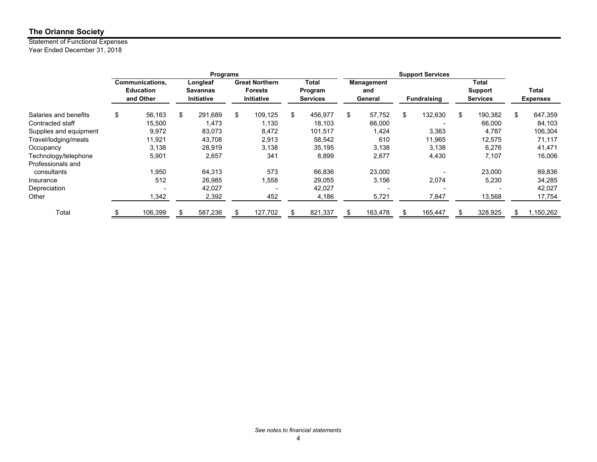#### Statement of Functional Expenses Year Ended December 31, 2018

|                        | <b>Programs</b> |                                                  |    |                                    |    |                                                                                                     |    |                                                    |    |                                                   |                          |               |    |           |
|------------------------|-----------------|--------------------------------------------------|----|------------------------------------|----|-----------------------------------------------------------------------------------------------------|----|----------------------------------------------------|----|---------------------------------------------------|--------------------------|---------------|----|-----------|
|                        |                 | Communications,<br><b>Education</b><br>and Other |    | Longleaf<br>Savannas<br>Initiative |    | <b>Great Northern</b><br>Total<br><b>Forests</b><br>Program<br><b>Initiative</b><br><b>Services</b> |    | Management<br>and<br>General<br><b>Fundraising</b> |    | <b>Total</b><br><b>Support</b><br><b>Services</b> | Total<br><b>Expenses</b> |               |    |           |
| Salaries and benefits  | \$              | 56,163                                           | \$ | 291,689                            | \$ | 109,125                                                                                             | \$ | 456,977                                            | \$ | 57,752                                            | \$<br>132,630            | \$<br>190,382 | \$ | 647,359   |
| Contracted staff       |                 | 15.500                                           |    | 1.473                              |    | 1,130                                                                                               |    | 18,103                                             |    | 66,000                                            |                          | 66.000        |    | 84,103    |
| Supplies and equipment |                 | 9,972                                            |    | 83.073                             |    | 8,472                                                                                               |    | 101,517                                            |    | 1,424                                             | 3,363                    | 4,787         |    | 106,304   |
| Travel/lodging/meals   |                 | 11,921                                           |    | 43.708                             |    | 2,913                                                                                               |    | 58,542                                             |    | 610                                               | 11,965                   | 12,575        |    | 71,117    |
| Occupancy              |                 | 3,138                                            |    | 28,919                             |    | 3,138                                                                                               |    | 35,195                                             |    | 3,138                                             | 3,138                    | 6,276         |    | 41,471    |
| Technology/telephone   |                 | 5,901                                            |    | 2,657                              |    | 341                                                                                                 |    | 8,899                                              |    | 2,677                                             | 4,430                    | 7,107         |    | 16,006    |
| Professionals and      |                 |                                                  |    |                                    |    |                                                                                                     |    |                                                    |    |                                                   |                          |               |    |           |
| consultants            |                 | 1,950                                            |    | 64,313                             |    | 573                                                                                                 |    | 66,836                                             |    | 23,000                                            |                          | 23,000        |    | 89,836    |
| Insurance              |                 | 512                                              |    | 26,985                             |    | 1,558                                                                                               |    | 29,055                                             |    | 3,156                                             | 2,074                    | 5,230         |    | 34,285    |
| Depreciation           |                 |                                                  |    | 42.027                             |    |                                                                                                     |    | 42,027                                             |    |                                                   |                          |               |    | 42,027    |
| Other                  |                 | 1,342                                            |    | 2,392                              |    | 452                                                                                                 |    | 4,186                                              |    | 5,721                                             | 7,847                    | 13,568        |    | 17,754    |
| Total                  |                 | 106,399                                          |    | 587,236                            |    | 127,702                                                                                             |    | 821,337                                            |    | 163,478                                           | 165,447                  | 328,925       | \$ | 1,150,262 |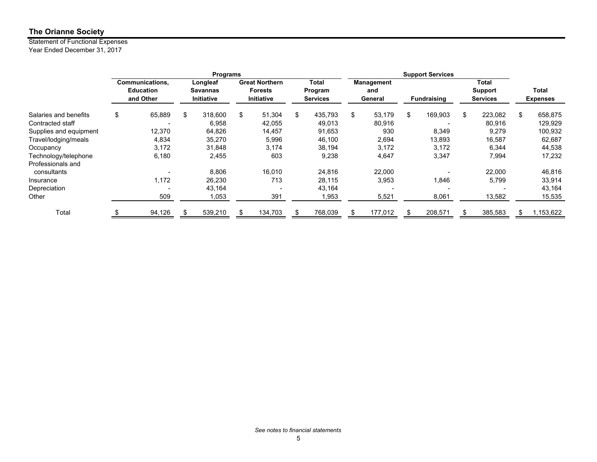#### Statement of Functional Expenses Year Ended December 31, 2017

|                        | Programs |                  |    |            |    |                       |    |                 |    |            |                    |                 |     |                 |
|------------------------|----------|------------------|----|------------|----|-----------------------|----|-----------------|----|------------|--------------------|-----------------|-----|-----------------|
|                        |          | Communications,  |    | Longleaf   |    | <b>Great Northern</b> |    | Total           |    | Management |                    | <b>Total</b>    |     |                 |
|                        |          | <b>Education</b> |    | Savannas   |    | <b>Forests</b>        |    | Program         |    | and        |                    | <b>Support</b>  |     | Total           |
|                        |          | and Other        |    | Initiative |    | <b>Initiative</b>     |    | <b>Services</b> |    | General    | <b>Fundraising</b> | <b>Services</b> |     | <b>Expenses</b> |
| Salaries and benefits  | \$       | 65,889           | \$ | 318,600    | \$ | 51,304                | \$ | 435,793         | \$ | 53,179     | \$<br>169,903      | \$<br>223,082   | \$  | 658,875         |
| Contracted staff       |          |                  |    | 6,958      |    | 42,055                |    | 49,013          |    | 80,916     |                    | 80,916          |     | 129,929         |
| Supplies and equipment |          | 12,370           |    | 64,826     |    | 14,457                |    | 91,653          |    | 930        | 8,349              | 9,279           |     | 100,932         |
| Travel/lodging/meals   |          | 4,834            |    | 35,270     |    | 5,996                 |    | 46,100          |    | 2,694      | 13,893             | 16,587          |     | 62,687          |
| Occupancy              |          | 3,172            |    | 31,848     |    | 3,174                 |    | 38,194          |    | 3,172      | 3,172              | 6,344           |     | 44,538          |
| Technology/telephone   |          | 6,180            |    | 2,455      |    | 603                   |    | 9,238           |    | 4,647      | 3,347              | 7,994           |     | 17,232          |
| Professionals and      |          |                  |    |            |    |                       |    |                 |    |            |                    |                 |     |                 |
| consultants            |          |                  |    | 8,806      |    | 16,010                |    | 24,816          |    | 22,000     |                    | 22,000          |     | 46,816          |
| Insurance              |          | 1,172            |    | 26,230     |    | 713                   |    | 28,115          |    | 3,953      | 1,846              | 5,799           |     | 33,914          |
| Depreciation           |          |                  |    | 43,164     |    |                       |    | 43,164          |    |            |                    |                 |     | 43,164          |
| Other                  |          | 509              |    | 1,053      |    | 391                   |    | 953, ا          |    | 5,521      | 8,061              | 13,582          |     | 15,535          |
| Total                  |          | 94,126           |    | 539,210    |    | 134,703               |    | 768,039         |    | 177,012    | 208,571            | 385,583         | \$. | 1,153,622       |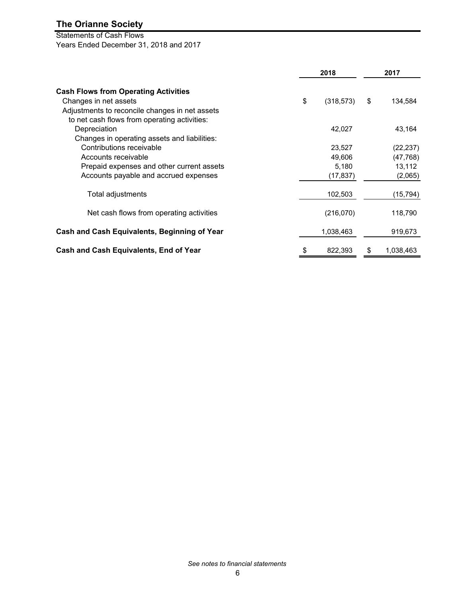# Statements of Cash Flows

Years Ended December 31, 2018 and 2017

|                                                | 2018             |    |           |  |
|------------------------------------------------|------------------|----|-----------|--|
| <b>Cash Flows from Operating Activities</b>    |                  |    |           |  |
| Changes in net assets                          | \$<br>(318, 573) | \$ | 134,584   |  |
| Adjustments to reconcile changes in net assets |                  |    |           |  |
| to net cash flows from operating activities:   |                  |    |           |  |
| Depreciation                                   | 42,027           |    | 43,164    |  |
| Changes in operating assets and liabilities:   |                  |    |           |  |
| Contributions receivable                       | 23,527           |    | (22, 237) |  |
| Accounts receivable                            | 49,606           |    | (47, 768) |  |
| Prepaid expenses and other current assets      | 5,180            |    | 13,112    |  |
| Accounts payable and accrued expenses          | (17, 837)        |    | (2,065)   |  |
| Total adjustments                              | 102,503          |    | (15, 794) |  |
| Net cash flows from operating activities       | (216,070)        |    | 118,790   |  |
| Cash and Cash Equivalents, Beginning of Year   | 1,038,463        |    | 919,673   |  |
| Cash and Cash Equivalents, End of Year         | \$<br>822,393    | \$ | 1,038,463 |  |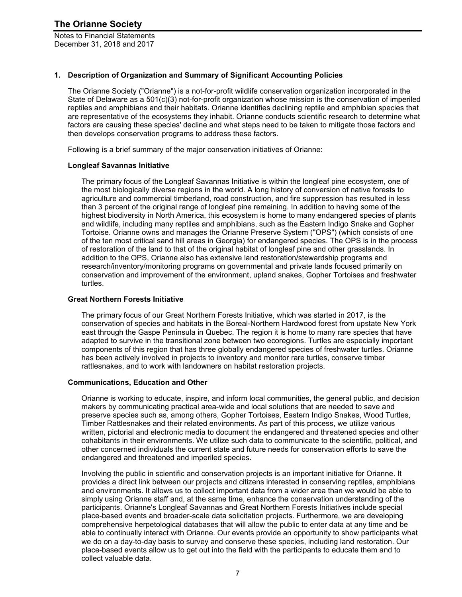Notes to Financial Statements December 31, 2018 and 2017

#### **1. Description of Organization and Summary of Significant Accounting Policies**

The Orianne Society ("Orianne") is a not-for-profit wildlife conservation organization incorporated in the State of Delaware as a 501(c)(3) not-for-profit organization whose mission is the conservation of imperiled reptiles and amphibians and their habitats. Orianne identifies declining reptile and amphibian species that are representative of the ecosystems they inhabit. Orianne conducts scientific research to determine what factors are causing these species' decline and what steps need to be taken to mitigate those factors and then develops conservation programs to address these factors.

Following is a brief summary of the major conservation initiatives of Orianne:

#### **Longleaf Savannas Initiative**

The primary focus of the Longleaf Savannas Initiative is within the longleaf pine ecosystem, one of the most biologically diverse regions in the world. A long history of conversion of native forests to agriculture and commercial timberland, road construction, and fire suppression has resulted in less than 3 percent of the original range of longleaf pine remaining. In addition to having some of the highest biodiversity in North America, this ecosystem is home to many endangered species of plants and wildlife, including many reptiles and amphibians, such as the Eastern Indigo Snake and Gopher Tortoise. Orianne owns and manages the Orianne Preserve System (''OPS") (which consists of one of the ten most critical sand hill areas in Georgia) for endangered species. The OPS is in the process of restoration of the land to that of the original habitat of longleaf pine and other grasslands. In addition to the OPS, Orianne also has extensive land restoration/stewardship programs and research/inventory/monitoring programs on governmental and private lands focused primarily on conservation and improvement of the environment, upland snakes, Gopher Tortoises and freshwater turtles.

#### **Great Northern Forests Initiative**

The primary focus of our Great Northern Forests Initiative, which was started in 2017, is the conservation of species and habitats in the Boreal-Northern Hardwood forest from upstate New York east through the Gaspe Peninsula in Quebec. The region it is home to many rare species that have adapted to survive in the transitional zone between two ecoregions. Turtles are especially important components of this region that has three globally endangered species of freshwater turtles. Orianne has been actively involved in projects to inventory and monitor rare turtles, conserve timber rattlesnakes, and to work with landowners on habitat restoration projects.

#### **Communications, Education and Other**

Orianne is working to educate, inspire, and inform local communities, the general public, and decision makers by communicating practical area-wide and local solutions that are needed to save and preserve species such as, among others, Gopher Tortoises, Eastern Indigo Snakes, Wood Turtles, Timber Rattlesnakes and their related environments. As part of this process, we utilize various written, pictorial and electronic media to document the endangered and threatened species and other cohabitants in their environments. We utilize such data to communicate to the scientific, political, and other concerned individuals the current state and future needs for conservation efforts to save the endangered and threatened and imperiled species.

Involving the public in scientific and conservation projects is an important initiative for Orianne. It provides a direct link between our projects and citizens interested in conserving reptiles, amphibians and environments. It allows us to collect important data from a wider area than we would be able to simply using Orianne staff and, at the same time, enhance the conservation understanding of the participants. Orianne's Longleaf Savannas and Great Northern Forests Initiatives include special place-based events and broader-scale data solicitation projects. Furthermore, we are developing comprehensive herpetological databases that will allow the public to enter data at any time and be able to continually interact with Orianne. Our events provide an opportunity to show participants what we do on a day-to-day basis to survey and conserve these species, including land restoration. Our place-based events allow us to get out into the field with the participants to educate them and to collect valuable data.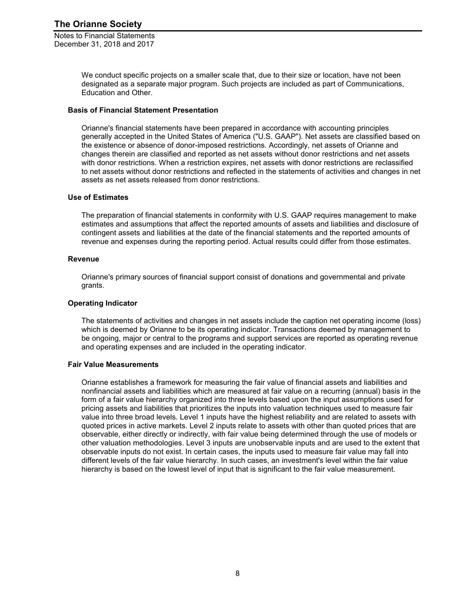Notes to Financial Statements December 31, 2018 and 2017

> We conduct specific projects on a smaller scale that, due to their size or location, have not been designated as a separate major program. Such projects are included as part of Communications, Education and Other.

#### **Basis of Financial Statement Presentation**

Orianne's financial statements have been prepared in accordance with accounting principles generally accepted in the United States of America ("U.S. GAAP"). Net assets are classified based on the existence or absence of donor-imposed restrictions. Accordingly, net assets of Orianne and changes therein are classified and reported as net assets without donor restrictions and net assets with donor restrictions. When a restriction expires, net assets with donor restrictions are reclassified to net assets without donor restrictions and reflected in the statements of activities and changes in net assets as net assets released from donor restrictions.

#### **Use of Estimates**

The preparation of financial statements in conformity with U.S. GAAP requires management to make estimates and assumptions that affect the reported amounts of assets and liabilities and disclosure of contingent assets and liabilities at the date of the financial statements and the reported amounts of revenue and expenses during the reporting period. Actual results could differ from those estimates.

#### **Revenue**

Orianne's primary sources of financial support consist of donations and governmental and private grants.

#### **Operating Indicator**

The statements of activities and changes in net assets include the caption net operating income (loss) which is deemed by Orianne to be its operating indicator. Transactions deemed by management to be ongoing, major or central to the programs and support services are reported as operating revenue and operating expenses and are included in the operating indicator.

#### **Fair Value Measurements**

Orianne establishes a framework for measuring the fair value of financial assets and liabilities and nonfinancial assets and liabilities which are measured at fair value on a recurring (annual) basis in the form of a fair value hierarchy organized into three levels based upon the input assumptions used for pricing assets and liabilities that prioritizes the inputs into valuation techniques used to measure fair value into three broad levels. Level 1 inputs have the highest reliability and are related to assets with quoted prices in active markets. Level 2 inputs relate to assets with other than quoted prices that are observable, either directly or indirectly, with fair value being determined through the use of models or other valuation methodologies. Level 3 inputs are unobservable inputs and are used to the extent that observable inputs do not exist. In certain cases, the inputs used to measure fair value may fall into different levels of the fair value hierarchy. In such cases, an investment's level within the fair value hierarchy is based on the lowest level of input that is significant to the fair value measurement.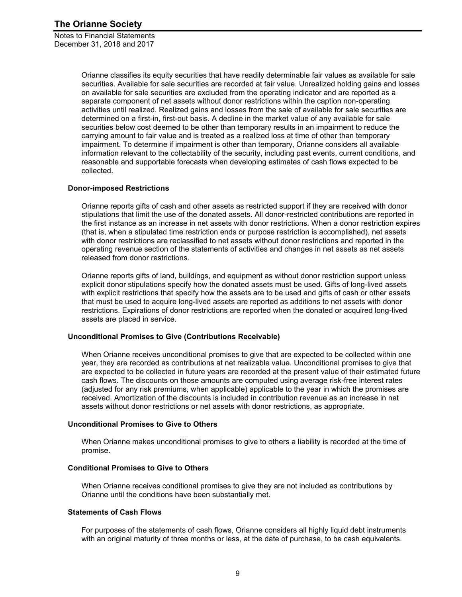Notes to Financial Statements December 31, 2018 and 2017

> Orianne classifies its equity securities that have readily determinable fair values as available for sale securities. Available for sale securities are recorded at fair value. Unrealized holding gains and losses on available for sale securities are excluded from the operating indicator and are reported as a separate component of net assets without donor restrictions within the caption non-operating activities until realized. Realized gains and losses from the sale of available for sale securities are determined on a first-in, first-out basis. A decline in the market value of any available for sale securities below cost deemed to be other than temporary results in an impairment to reduce the carrying amount to fair value and is treated as a realized loss at time of other than temporary impairment. To determine if impairment is other than temporary, Orianne considers all available information relevant to the collectability of the security, including past events, current conditions, and reasonable and supportable forecasts when developing estimates of cash flows expected to be collected.

#### **Donor-imposed Restrictions**

Orianne reports gifts of cash and other assets as restricted support if they are received with donor stipulations that limit the use of the donated assets. All donor-restricted contributions are reported in the first instance as an increase in net assets with donor restrictions. When a donor restriction expires (that is, when a stipulated time restriction ends or purpose restriction is accomplished), net assets with donor restrictions are reclassified to net assets without donor restrictions and reported in the operating revenue section of the statements of activities and changes in net assets as net assets released from donor restrictions.

Orianne reports gifts of land, buildings, and equipment as without donor restriction support unless explicit donor stipulations specify how the donated assets must be used. Gifts of long-lived assets with explicit restrictions that specify how the assets are to be used and gifts of cash or other assets that must be used to acquire long-lived assets are reported as additions to net assets with donor restrictions. Expirations of donor restrictions are reported when the donated or acquired long-lived assets are placed in service.

#### **Unconditional Promises to Give (Contributions Receivable)**

When Orianne receives unconditional promises to give that are expected to be collected within one year, they are recorded as contributions at net realizable value. Unconditional promises to give that are expected to be collected in future years are recorded at the present value of their estimated future cash flows. The discounts on those amounts are computed using average risk-free interest rates (adjusted for any risk premiums, when applicable) applicable to the year in which the promises are received. Amortization of the discounts is included in contribution revenue as an increase in net assets without donor restrictions or net assets with donor restrictions, as appropriate.

#### **Unconditional Promises to Give to Others**

When Orianne makes unconditional promises to give to others a liability is recorded at the time of promise.

#### **Conditional Promises to Give to Others**

When Orianne receives conditional promises to give they are not included as contributions by Orianne until the conditions have been substantially met.

#### **Statements of Cash Flows**

For purposes of the statements of cash flows, Orianne considers all highly liquid debt instruments with an original maturity of three months or less, at the date of purchase, to be cash equivalents.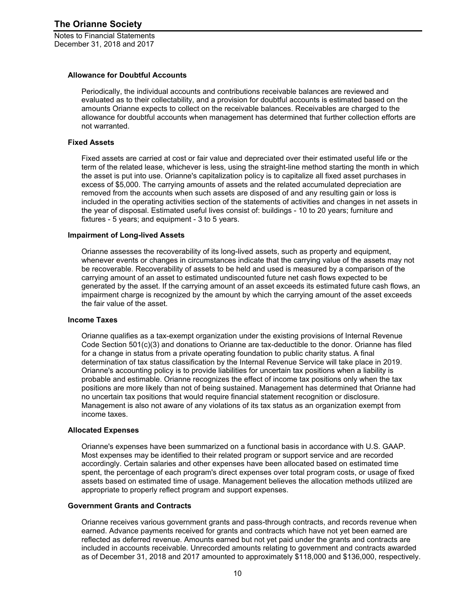Notes to Financial Statements December 31, 2018 and 2017

#### **Allowance for Doubtful Accounts**

Periodically, the individual accounts and contributions receivable balances are reviewed and evaluated as to their collectability, and a provision for doubtful accounts is estimated based on the amounts Orianne expects to collect on the receivable balances. Receivables are charged to the allowance for doubtful accounts when management has determined that further collection efforts are not warranted.

#### **Fixed Assets**

Fixed assets are carried at cost or fair value and depreciated over their estimated useful life or the term of the related lease, whichever is less, using the straight-line method starting the month in which the asset is put into use. Orianne's capitalization policy is to capitalize all fixed asset purchases in excess of \$5,000. The carrying amounts of assets and the related accumulated depreciation are removed from the accounts when such assets are disposed of and any resulting gain or loss is included in the operating activities section of the statements of activities and changes in net assets in the year of disposal. Estimated useful lives consist of: buildings - 10 to 20 years; furniture and fixtures - 5 years; and equipment - 3 to 5 years.

#### **Impairment of Long-lived Assets**

Orianne assesses the recoverability of its long-lived assets, such as property and equipment, whenever events or changes in circumstances indicate that the carrying value of the assets may not be recoverable. Recoverability of assets to be held and used is measured by a comparison of the carrying amount of an asset to estimated undiscounted future net cash flows expected to be generated by the asset. If the carrying amount of an asset exceeds its estimated future cash flows, an impairment charge is recognized by the amount by which the carrying amount of the asset exceeds the fair value of the asset.

#### **Income Taxes**

Orianne qualifies as a tax-exempt organization under the existing provisions of Internal Revenue Code Section 501(c)(3) and donations to Orianne are tax-deductible to the donor. Orianne has filed for a change in status from a private operating foundation to public charity status. A final determination of tax status classification by the Internal Revenue Service will take place in 2019. Orianne's accounting policy is to provide liabilities for uncertain tax positions when a liability is probable and estimable. Orianne recognizes the effect of income tax positions only when the tax positions are more likely than not of being sustained. Management has determined that Orianne had no uncertain tax positions that would require financial statement recognition or disclosure. Management is also not aware of any violations of its tax status as an organization exempt from income taxes.

#### **Allocated Expenses**

Orianne's expenses have been summarized on a functional basis in accordance with U.S. GAAP. Most expenses may be identified to their related program or support service and are recorded accordingly. Certain salaries and other expenses have been allocated based on estimated time spent, the percentage of each program's direct expenses over total program costs, or usage of fixed assets based on estimated time of usage. Management believes the allocation methods utilized are appropriate to properly reflect program and support expenses.

#### **Government Grants and Contracts**

Orianne receives various government grants and pass-through contracts, and records revenue when earned. Advance payments received for grants and contracts which have not yet been earned are reflected as deferred revenue. Amounts earned but not yet paid under the grants and contracts are included in accounts receivable. Unrecorded amounts relating to government and contracts awarded as of December 31, 2018 and 2017 amounted to approximately \$118,000 and \$136,000, respectively.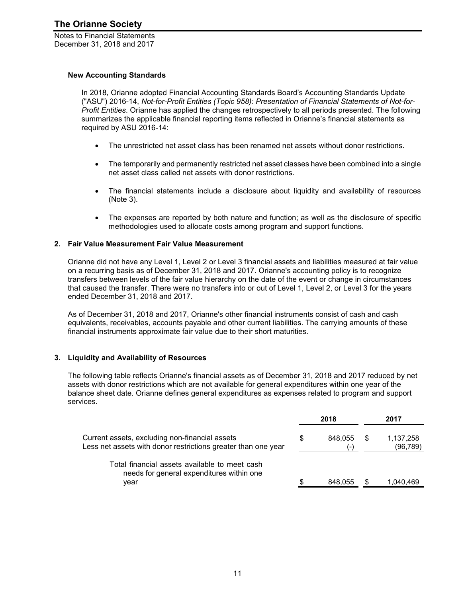Notes to Financial Statements December 31, 2018 and 2017

#### **New Accounting Standards**

In 2018, Orianne adopted Financial Accounting Standards Board's Accounting Standards Update ("ASU") 2016-14, *Not-for-Profit Entities (Topic 958): Presentation of Financial Statements of Not-for-Profit Entities*. Orianne has applied the changes retrospectively to all periods presented. The following summarizes the applicable financial reporting items reflected in Orianne's financial statements as required by ASU 2016-14:

- The unrestricted net asset class has been renamed net assets without donor restrictions.
- The temporarily and permanently restricted net asset classes have been combined into a single net asset class called net assets with donor restrictions.
- The financial statements include a disclosure about liquidity and availability of resources (Note 3).
- The expenses are reported by both nature and function; as well as the disclosure of specific methodologies used to allocate costs among program and support functions.

#### **2. Fair Value Measurement Fair Value Measurement**

Orianne did not have any Level 1, Level 2 or Level 3 financial assets and liabilities measured at fair value on a recurring basis as of December 31, 2018 and 2017. Orianne's accounting policy is to recognize transfers between levels of the fair value hierarchy on the date of the event or change in circumstances that caused the transfer. There were no transfers into or out of Level 1, Level 2, or Level 3 for the years ended December 31, 2018 and 2017.

As of December 31, 2018 and 2017, Orianne's other financial instruments consist of cash and cash equivalents, receivables, accounts payable and other current liabilities. The carrying amounts of these financial instruments approximate fair value due to their short maturities.

#### **3. Liquidity and Availability of Resources**

The following table reflects Orianne's financial assets as of December 31, 2018 and 2017 reduced by net assets with donor restrictions which are not available for general expenditures within one year of the balance sheet date. Orianne defines general expenditures as expenses related to program and support services.

|                                                                                                                 |     | 2018             |     | 2017                   |  |  |
|-----------------------------------------------------------------------------------------------------------------|-----|------------------|-----|------------------------|--|--|
| Current assets, excluding non-financial assets<br>Less net assets with donor restrictions greater than one year | S   | 848.055<br>$(-)$ | S.  | 1,137,258<br>(96, 789) |  |  |
| Total financial assets available to meet cash<br>needs for general expenditures within one<br>vear              | \$. | 848.055          | \$. | 1,040,469              |  |  |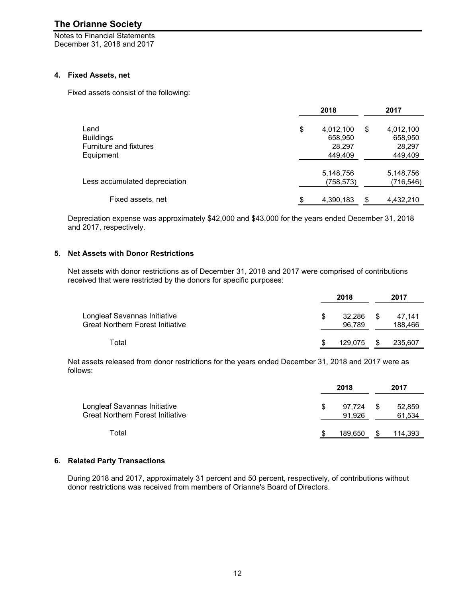Notes to Financial Statements December 31, 2018 and 2017

#### **4. Fixed Assets, net**

Fixed assets consist of the following:

|                                                                 | 2018                                            | 2017                                            |
|-----------------------------------------------------------------|-------------------------------------------------|-------------------------------------------------|
| Land<br><b>Buildings</b><br>Furniture and fixtures<br>Equipment | \$<br>4,012,100<br>658,950<br>28,297<br>449,409 | \$<br>4,012,100<br>658,950<br>28,297<br>449,409 |
| Less accumulated depreciation                                   | 5,148,756<br>(758,573)                          | 5,148,756<br>(716, 546)                         |
| Fixed assets, net                                               | \$<br>4,390,183                                 | \$<br>4,432,210                                 |

Depreciation expense was approximately \$42,000 and \$43,000 for the years ended December 31, 2018 and 2017, respectively.

#### **5. Net Assets with Donor Restrictions**

Net assets with donor restrictions as of December 31, 2018 and 2017 were comprised of contributions received that were restricted by the donors for specific purposes:

|                                                                         | 2018 |                  |    |                   |
|-------------------------------------------------------------------------|------|------------------|----|-------------------|
| Longleaf Savannas Initiative<br><b>Great Northern Forest Initiative</b> | S    | 32.286<br>96,789 | S. | 47.141<br>188,466 |
| Total                                                                   |      | 129.075          |    | 235,607           |

Net assets released from donor restrictions for the years ended December 31, 2018 and 2017 were as follows:

|                                                                         |   | 2018             | 2017 |                  |  |  |
|-------------------------------------------------------------------------|---|------------------|------|------------------|--|--|
| Longleaf Savannas Initiative<br><b>Great Northern Forest Initiative</b> | S | 97.724<br>91.926 | - \$ | 52,859<br>61,534 |  |  |
| Total                                                                   |   | 189.650          |      | 114,393          |  |  |

#### **6. Related Party Transactions**

During 2018 and 2017, approximately 31 percent and 50 percent, respectively, of contributions without donor restrictions was received from members of Orianne's Board of Directors.